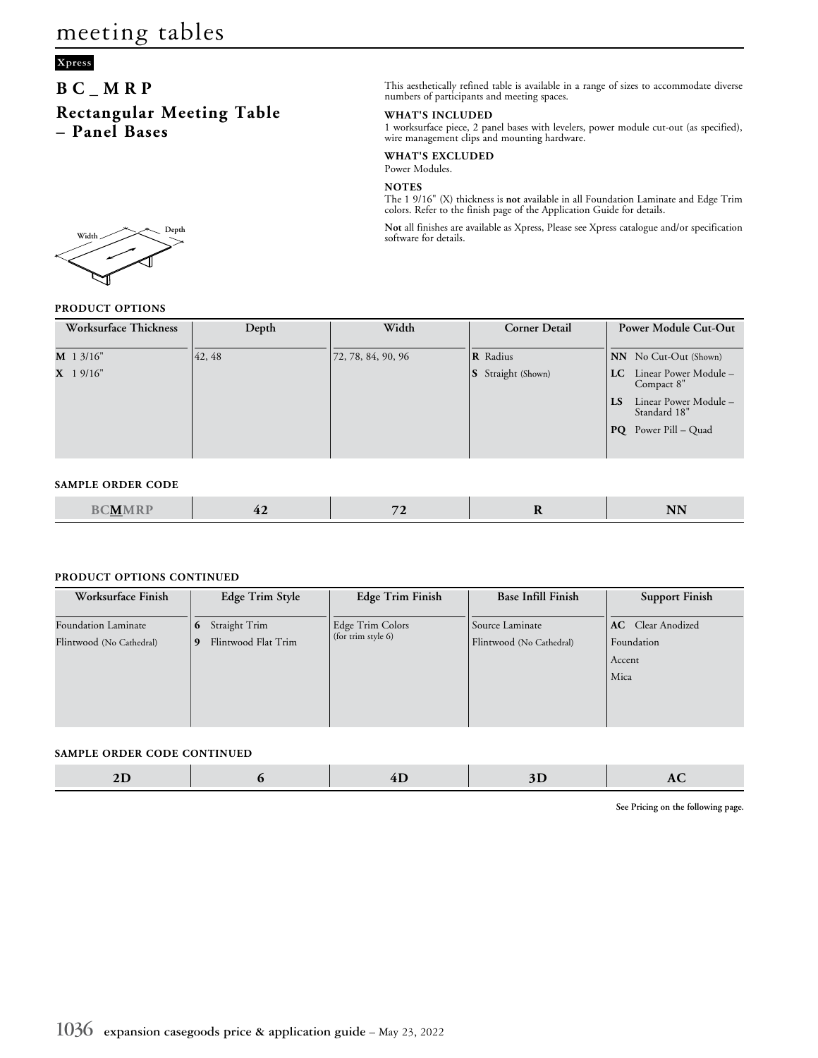## **Xpress**

## **BC\_MRP Rectangular Meeting Table – Panel Bases**



### **WHAT'S INCLUDED**

1 worksurface piece, 2 panel bases with levelers, power module cut-out (as specified), wire management clips and mounting hardware.

**WHAT'S EXCLUDED** Power Modules.

### **NOTES**

The 1 9/16" (X) thickness is **not** available in all Foundation Laminate and Edge Trim colors. Refer to the finish page of the Application Guide for details.

Width **Not** all finishes are available as Xpress, Please see Xpress catalogue and/or specification software for details.

### **PRODUCT OPTIONS**

| Worksurface Thickness | Depth  | Width              | <b>Corner Detail</b>      | <b>Power Module Cut-Out</b>                           |
|-----------------------|--------|--------------------|---------------------------|-------------------------------------------------------|
| $M$ 1 3/16"           | 42, 48 | 72, 78, 84, 90, 96 | <b>R</b> Radius           | NN No Cut-Out (Shown)                                 |
| $X$ 1 9/16"           |        |                    | <b>S</b> Straight (Shown) | Linear Power Module –<br>LC.<br>Compact 8"            |
|                       |        |                    |                           | Linear Power Module -<br>$\mathbf{S}$<br>Standard 18" |
|                       |        |                    |                           | $PQ$ Power Pill – Quad                                |
|                       |        |                    |                           |                                                       |

#### **SAMPLE ORDER CODE**

|--|

#### **PRODUCT OPTIONS CONTINUED**

| Worksurface Finish                              | Edge Trim Style                                | Edge Trim Finish                       | <b>Base Infill Finish</b>                   | <b>Support Finish</b>                                    |
|-------------------------------------------------|------------------------------------------------|----------------------------------------|---------------------------------------------|----------------------------------------------------------|
| Foundation Laminate<br>Flintwood (No Cathedral) | Straight Trim<br>6<br>Flintwood Flat Trim<br>9 | Edge Trim Colors<br>(for trim style 6) | Source Laminate<br>Flintwood (No Cathedral) | <b>AC</b> Clear Anodized<br>Foundation<br>Accent<br>Mica |
|                                                 |                                                |                                        |                                             |                                                          |

#### **SAMPLE ORDER CODE CONTINUED**

|--|--|

**See Pricing on the following page.**